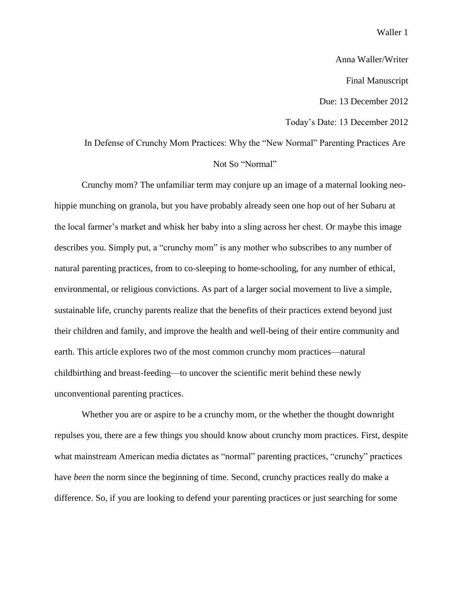Anna Waller/Writer

Final Manuscript

Due: 13 December 2012

Today's Date: 13 December 2012

# In Defense of Crunchy Mom Practices: Why the "New Normal" Parenting Practices Are Not So "Normal"

Crunchy mom? The unfamiliar term may conjure up an image of a maternal looking neohippie munching on granola, but you have probably already seen one hop out of her Subaru at the local farmer's market and whisk her baby into a sling across her chest. Or maybe this image describes you. Simply put, a "crunchy mom" is any mother who subscribes to any number of natural parenting practices, from to co-sleeping to home-schooling, for any number of ethical, environmental, or religious convictions. As part of a larger social movement to live a simple, sustainable life, crunchy parents realize that the benefits of their practices extend beyond just their children and family, and improve the health and well-being of their entire community and earth. This article explores two of the most common crunchy mom practices—natural childbirthing and breast-feeding—to uncover the scientific merit behind these newly unconventional parenting practices.

Whether you are or aspire to be a crunchy mom, or the whether the thought downright repulses you, there are a few things you should know about crunchy mom practices. First, despite what mainstream American media dictates as "normal" parenting practices, "crunchy" practices have *been* the norm since the beginning of time. Second, crunchy practices really do make a difference. So, if you are looking to defend your parenting practices or just searching for some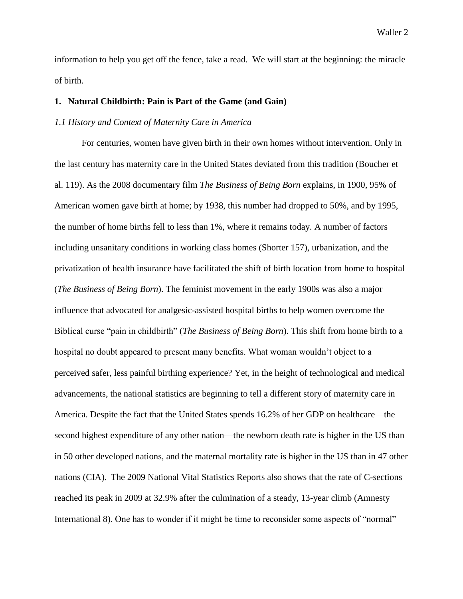information to help you get off the fence, take a read. We will start at the beginning: the miracle of birth.

#### **1. Natural Childbirth: Pain is Part of the Game (and Gain)**

#### *1.1 History and Context of Maternity Care in America*

For centuries, women have given birth in their own homes without intervention. Only in the last century has maternity care in the United States deviated from this tradition (Boucher et al. 119). As the 2008 documentary film *The Business of Being Born* explains, in 1900, 95% of American women gave birth at home; by 1938, this number had dropped to 50%, and by 1995, the number of home births fell to less than 1%, where it remains today. A number of factors including unsanitary conditions in working class homes (Shorter 157), urbanization, and the privatization of health insurance have facilitated the shift of birth location from home to hospital (*The Business of Being Born*). The feminist movement in the early 1900s was also a major influence that advocated for analgesic-assisted hospital births to help women overcome the Biblical curse "pain in childbirth" (*The Business of Being Born*). This shift from home birth to a hospital no doubt appeared to present many benefits. What woman wouldn't object to a perceived safer, less painful birthing experience? Yet, in the height of technological and medical advancements, the national statistics are beginning to tell a different story of maternity care in America. Despite the fact that the United States spends 16.2% of her GDP on healthcare—the second highest expenditure of any other nation—the newborn death rate is higher in the US than in 50 other developed nations, and the maternal mortality rate is higher in the US than in 47 other nations (CIA). The 2009 National Vital Statistics Reports also shows that the rate of C-sections reached its peak in 2009 at 32.9% after the culmination of a steady, 13-year climb (Amnesty International 8). One has to wonder if it might be time to reconsider some aspects of "normal"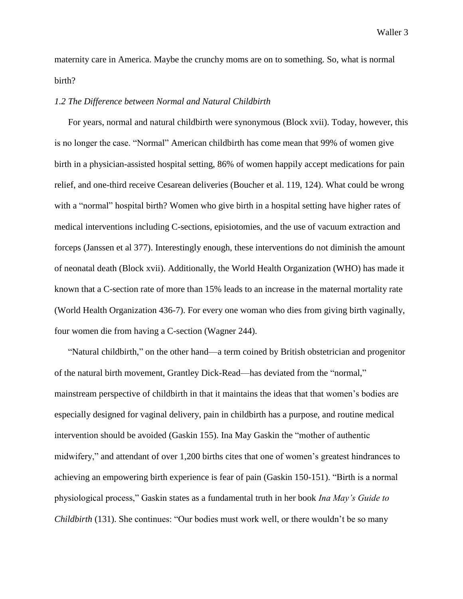maternity care in America. Maybe the crunchy moms are on to something. So, what is normal birth?

#### *1.2 The Difference between Normal and Natural Childbirth*

For years, normal and natural childbirth were synonymous (Block xvii). Today, however, this is no longer the case. "Normal" American childbirth has come mean that 99% of women give birth in a physician-assisted hospital setting, 86% of women happily accept medications for pain relief, and one-third receive Cesarean deliveries (Boucher et al. 119, 124). What could be wrong with a "normal" hospital birth? Women who give birth in a hospital setting have higher rates of medical interventions including C-sections, episiotomies, and the use of vacuum extraction and forceps (Janssen et al 377). Interestingly enough, these interventions do not diminish the amount of neonatal death (Block xvii). Additionally, the World Health Organization (WHO) has made it known that a C-section rate of more than 15% leads to an increase in the maternal mortality rate (World Health Organization 436-7). For every one woman who dies from giving birth vaginally, four women die from having a C-section (Wagner 244).

"Natural childbirth," on the other hand—a term coined by British obstetrician and progenitor of the natural birth movement, Grantley Dick-Read—has deviated from the "normal," mainstream perspective of childbirth in that it maintains the ideas that that women's bodies are especially designed for vaginal delivery, pain in childbirth has a purpose, and routine medical intervention should be avoided (Gaskin 155). Ina May Gaskin the "mother of authentic midwifery," and attendant of over 1,200 births cites that one of women's greatest hindrances to achieving an empowering birth experience is fear of pain (Gaskin 150-151). "Birth is a normal physiological process," Gaskin states as a fundamental truth in her book *Ina May's Guide to Childbirth* (131). She continues: "Our bodies must work well, or there wouldn't be so many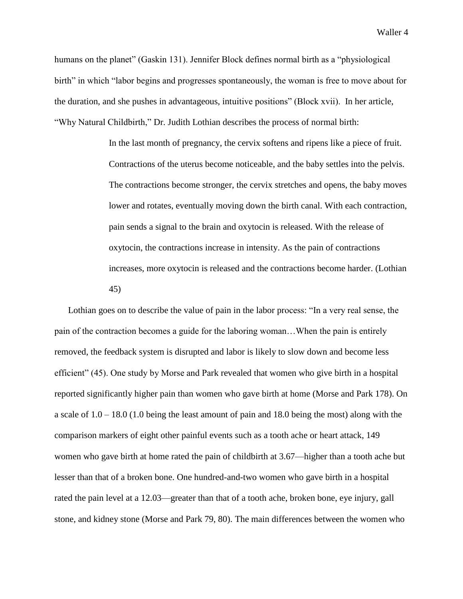humans on the planet" (Gaskin 131). Jennifer Block defines normal birth as a "physiological birth" in which "labor begins and progresses spontaneously, the woman is free to move about for the duration, and she pushes in advantageous, intuitive positions" (Block xvii). In her article, "Why Natural Childbirth," Dr. Judith Lothian describes the process of normal birth:

> In the last month of pregnancy, the cervix softens and ripens like a piece of fruit. Contractions of the uterus become noticeable, and the baby settles into the pelvis. The contractions become stronger, the cervix stretches and opens, the baby moves lower and rotates, eventually moving down the birth canal. With each contraction, pain sends a signal to the brain and oxytocin is released. With the release of oxytocin, the contractions increase in intensity. As the pain of contractions increases, more oxytocin is released and the contractions become harder. (Lothian 45)

Lothian goes on to describe the value of pain in the labor process: "In a very real sense, the pain of the contraction becomes a guide for the laboring woman…When the pain is entirely removed, the feedback system is disrupted and labor is likely to slow down and become less efficient" (45). One study by Morse and Park revealed that women who give birth in a hospital reported significantly higher pain than women who gave birth at home (Morse and Park 178). On a scale of 1.0 – 18.0 (1.0 being the least amount of pain and 18.0 being the most) along with the comparison markers of eight other painful events such as a tooth ache or heart attack, 149 women who gave birth at home rated the pain of childbirth at 3.67—higher than a tooth ache but lesser than that of a broken bone. One hundred-and-two women who gave birth in a hospital rated the pain level at a 12.03—greater than that of a tooth ache, broken bone, eye injury, gall stone, and kidney stone (Morse and Park 79, 80). The main differences between the women who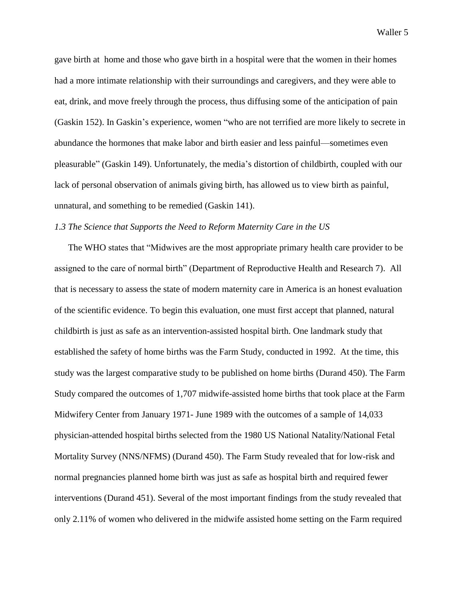gave birth at home and those who gave birth in a hospital were that the women in their homes had a more intimate relationship with their surroundings and caregivers, and they were able to eat, drink, and move freely through the process, thus diffusing some of the anticipation of pain (Gaskin 152). In Gaskin's experience, women "who are not terrified are more likely to secrete in abundance the hormones that make labor and birth easier and less painful—sometimes even pleasurable" (Gaskin 149). Unfortunately, the media's distortion of childbirth, coupled with our lack of personal observation of animals giving birth, has allowed us to view birth as painful, unnatural, and something to be remedied (Gaskin 141).

#### *1.3 The Science that Supports the Need to Reform Maternity Care in the US*

The WHO states that "Midwives are the most appropriate primary health care provider to be assigned to the care of normal birth" (Department of Reproductive Health and Research 7). All that is necessary to assess the state of modern maternity care in America is an honest evaluation of the scientific evidence. To begin this evaluation, one must first accept that planned, natural childbirth is just as safe as an intervention-assisted hospital birth. One landmark study that established the safety of home births was the Farm Study, conducted in 1992. At the time, this study was the largest comparative study to be published on home births (Durand 450). The Farm Study compared the outcomes of 1,707 midwife-assisted home births that took place at the Farm Midwifery Center from January 1971- June 1989 with the outcomes of a sample of 14,033 physician-attended hospital births selected from the 1980 US National Natality/National Fetal Mortality Survey (NNS/NFMS) (Durand 450). The Farm Study revealed that for low-risk and normal pregnancies planned home birth was just as safe as hospital birth and required fewer interventions (Durand 451). Several of the most important findings from the study revealed that only 2.11% of women who delivered in the midwife assisted home setting on the Farm required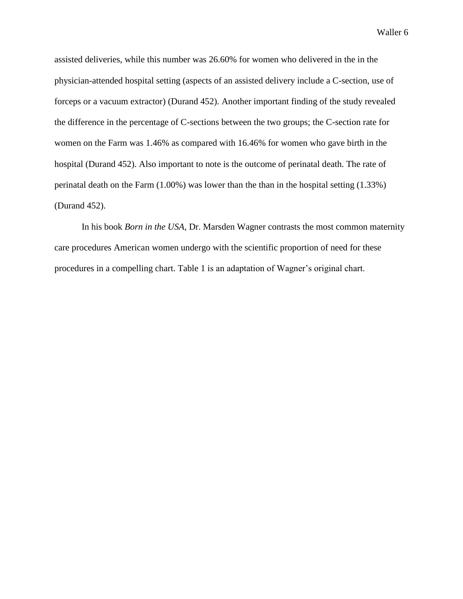assisted deliveries, while this number was 26.60% for women who delivered in the in the physician-attended hospital setting (aspects of an assisted delivery include a C-section, use of forceps or a vacuum extractor) (Durand 452). Another important finding of the study revealed the difference in the percentage of C-sections between the two groups; the C-section rate for women on the Farm was 1.46% as compared with 16.46% for women who gave birth in the hospital (Durand 452). Also important to note is the outcome of perinatal death. The rate of perinatal death on the Farm (1.00%) was lower than the than in the hospital setting (1.33%) (Durand 452).

In his book *Born in the USA*, Dr. Marsden Wagner contrasts the most common maternity care procedures American women undergo with the scientific proportion of need for these procedures in a compelling chart. Table 1 is an adaptation of Wagner's original chart.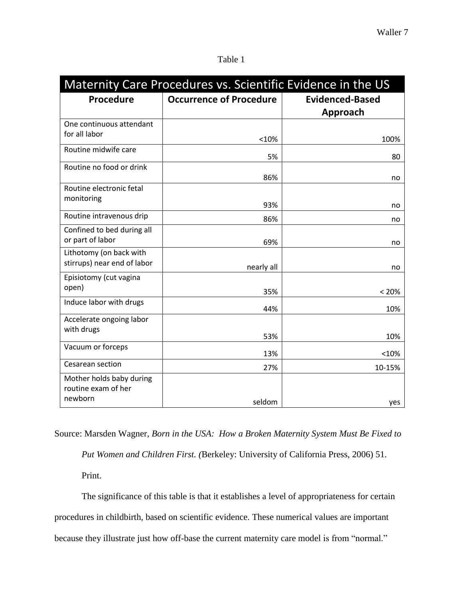| Maternity Care Procedures vs. Scientific Evidence in the US |                                |                                    |  |
|-------------------------------------------------------------|--------------------------------|------------------------------------|--|
| <b>Procedure</b>                                            | <b>Occurrence of Procedure</b> | <b>Evidenced-Based</b><br>Approach |  |
| One continuous attendant<br>for all labor                   | <10%                           | 100%                               |  |
| Routine midwife care                                        | 5%                             | 80                                 |  |
| Routine no food or drink                                    | 86%                            | no                                 |  |
| Routine electronic fetal<br>monitoring                      | 93%                            | no                                 |  |
| Routine intravenous drip                                    | 86%                            | no                                 |  |
| Confined to bed during all<br>or part of labor              | 69%                            | no                                 |  |
| Lithotomy (on back with<br>stirrups) near end of labor      | nearly all                     | no                                 |  |
| Episiotomy (cut vagina<br>open)                             | 35%                            | < 20%                              |  |
| Induce labor with drugs                                     | 44%                            | 10%                                |  |
| Accelerate ongoing labor<br>with drugs                      | 53%                            | 10%                                |  |
| Vacuum or forceps                                           | 13%                            | < 10%                              |  |
| Cesarean section                                            | 27%                            | 10-15%                             |  |
| Mother holds baby during<br>routine exam of her<br>newborn  | seldom                         | yes                                |  |

### Table 1

Source: Marsden Wagner, *Born in the USA: How a Broken Maternity System Must Be Fixed to* 

*Put Women and Children First. (*Berkeley: University of California Press, 2006) 51.

Print.

The significance of this table is that it establishes a level of appropriateness for certain procedures in childbirth, based on scientific evidence. These numerical values are important because they illustrate just how off-base the current maternity care model is from "normal."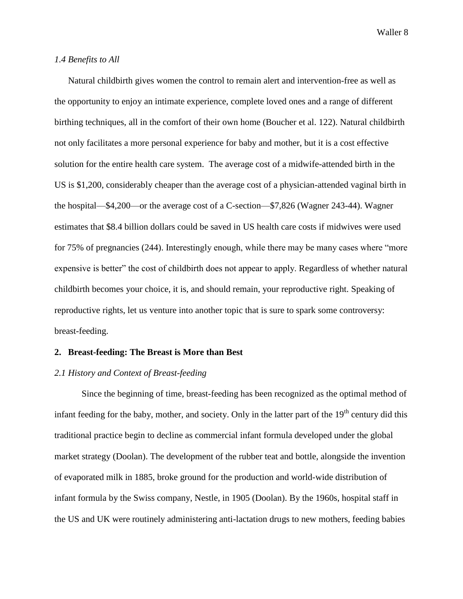#### *1.4 Benefits to All*

Natural childbirth gives women the control to remain alert and intervention-free as well as the opportunity to enjoy an intimate experience, complete loved ones and a range of different birthing techniques, all in the comfort of their own home (Boucher et al. 122). Natural childbirth not only facilitates a more personal experience for baby and mother, but it is a cost effective solution for the entire health care system. The average cost of a midwife-attended birth in the US is \$1,200, considerably cheaper than the average cost of a physician-attended vaginal birth in the hospital—\$4,200—or the average cost of a C-section—\$7,826 (Wagner 243-44). Wagner estimates that \$8.4 billion dollars could be saved in US health care costs if midwives were used for 75% of pregnancies (244). Interestingly enough, while there may be many cases where "more expensive is better" the cost of childbirth does not appear to apply. Regardless of whether natural childbirth becomes your choice, it is, and should remain, your reproductive right. Speaking of reproductive rights, let us venture into another topic that is sure to spark some controversy: breast-feeding.

#### **2. Breast-feeding: The Breast is More than Best**

#### *2.1 History and Context of Breast-feeding*

Since the beginning of time, breast-feeding has been recognized as the optimal method of infant feeding for the baby, mother, and society. Only in the latter part of the  $19<sup>th</sup>$  century did this traditional practice begin to decline as commercial infant formula developed under the global market strategy (Doolan). The development of the rubber teat and bottle, alongside the invention of evaporated milk in 1885, broke ground for the production and world-wide distribution of infant formula by the Swiss company, Nestle, in 1905 (Doolan). By the 1960s, hospital staff in the US and UK were routinely administering anti-lactation drugs to new mothers, feeding babies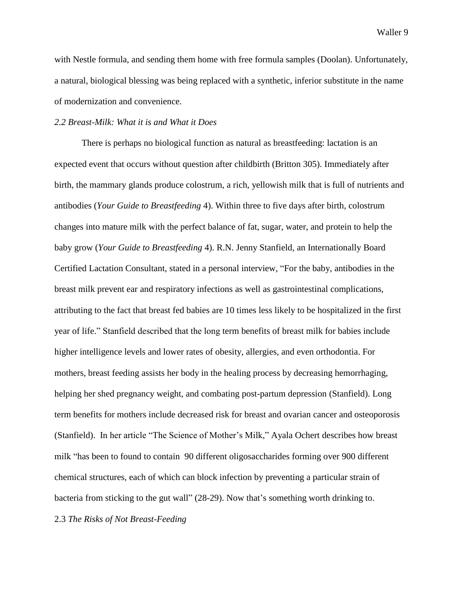with Nestle formula, and sending them home with free formula samples (Doolan). Unfortunately, a natural, biological blessing was being replaced with a synthetic, inferior substitute in the name of modernization and convenience.

#### *2.2 Breast-Milk: What it is and What it Does*

There is perhaps no biological function as natural as breastfeeding: lactation is an expected event that occurs without question after childbirth (Britton 305). Immediately after birth, the mammary glands produce colostrum, a rich, yellowish milk that is full of nutrients and antibodies (*Your Guide to Breastfeeding* 4). Within three to five days after birth, colostrum changes into mature milk with the perfect balance of fat, sugar, water, and protein to help the baby grow (*Your Guide to Breastfeeding* 4). R.N. Jenny Stanfield, an Internationally Board Certified Lactation Consultant, stated in a personal interview, "For the baby, antibodies in the breast milk prevent ear and respiratory infections as well as gastrointestinal complications, attributing to the fact that breast fed babies are 10 times less likely to be hospitalized in the first year of life." Stanfield described that the long term benefits of breast milk for babies include higher intelligence levels and lower rates of obesity, allergies, and even orthodontia. For mothers, breast feeding assists her body in the healing process by decreasing hemorrhaging, helping her shed pregnancy weight, and combating post-partum depression (Stanfield). Long term benefits for mothers include decreased risk for breast and ovarian cancer and osteoporosis (Stanfield). In her article "The Science of Mother's Milk," Ayala Ochert describes how breast milk "has been to found to contain 90 different oligosaccharides forming over 900 different chemical structures, each of which can block infection by preventing a particular strain of bacteria from sticking to the gut wall" (28-29). Now that's something worth drinking to. 2.3 *The Risks of Not Breast-Feeding*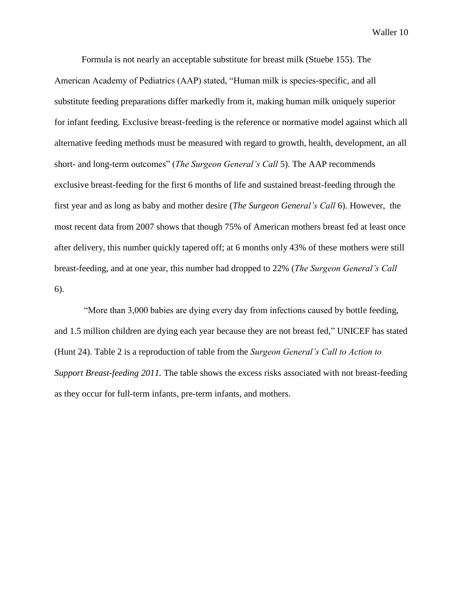Formula is not nearly an acceptable substitute for breast milk (Stuebe 155). The American Academy of Pediatrics (AAP) stated, "Human milk is species-specific, and all substitute feeding preparations differ markedly from it, making human milk uniquely superior for infant feeding. Exclusive breast-feeding is the reference or normative model against which all alternative feeding methods must be measured with regard to growth, health, development, an all short- and long-term outcomes" (*The Surgeon General's Call* 5). The AAP recommends exclusive breast-feeding for the first 6 months of life and sustained breast-feeding through the first year and as long as baby and mother desire (*The Surgeon General's Call* 6). However, the most recent data from 2007 shows that though 75% of American mothers breast fed at least once after delivery, this number quickly tapered off; at 6 months only 43% of these mothers were still breast-feeding, and at one year, this number had dropped to 22% (*The Surgeon General's Call* 6).

"More than 3,000 babies are dying every day from infections caused by bottle feeding, and 1.5 million children are dying each year because they are not breast fed," UNICEF has stated (Hunt 24). Table 2 is a reproduction of table from the *Surgeon General's Call to Action to Support Breast-feeding 2011.* The table shows the excess risks associated with not breast-feeding as they occur for full-term infants, pre-term infants, and mothers.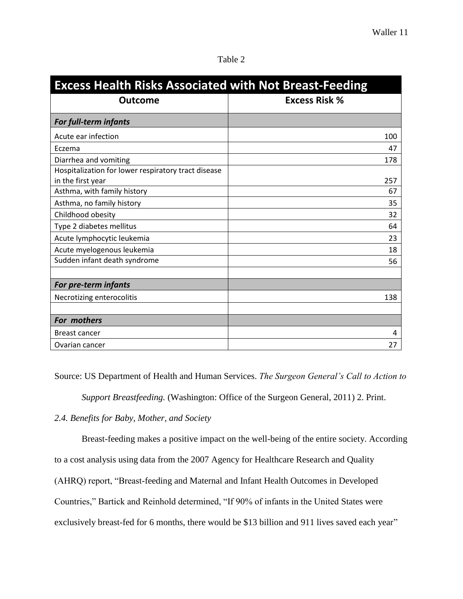| n |  |
|---|--|
|   |  |

| <b>Excess Health Risks Associated with Not Breast-Feeding</b> |                      |  |
|---------------------------------------------------------------|----------------------|--|
| <b>Outcome</b>                                                | <b>Excess Risk %</b> |  |
| For full-term infants                                         |                      |  |
| Acute ear infection                                           | 100                  |  |
| Eczema                                                        | 47                   |  |
| Diarrhea and vomiting                                         | 178                  |  |
| Hospitalization for lower respiratory tract disease           |                      |  |
| in the first year                                             | 257                  |  |
| Asthma, with family history                                   | 67                   |  |
| Asthma, no family history                                     | 35                   |  |
| Childhood obesity                                             | 32                   |  |
| Type 2 diabetes mellitus                                      | 64                   |  |
| Acute lymphocytic leukemia                                    | 23                   |  |
| Acute myelogenous leukemia                                    | 18                   |  |
| Sudden infant death syndrome                                  | 56                   |  |
|                                                               |                      |  |
| For pre-term infants                                          |                      |  |
| Necrotizing enterocolitis                                     | 138                  |  |
|                                                               |                      |  |
| For mothers                                                   |                      |  |
| <b>Breast cancer</b>                                          | 4                    |  |
| Ovarian cancer                                                | 27                   |  |

Source: US Department of Health and Human Services. *The Surgeon General's Call to Action to* 

*Support Breastfeeding.* (Washington: Office of the Surgeon General, 2011) 2. Print.

## *2.4. Benefits for Baby, Mother, and Society*

Breast-feeding makes a positive impact on the well-being of the entire society. According

to a cost analysis using data from the 2007 Agency for Healthcare Research and Quality

(AHRQ) report, "Breast-feeding and Maternal and Infant Health Outcomes in Developed

Countries," Bartick and Reinhold determined, "If 90% of infants in the United States were

exclusively breast-fed for 6 months, there would be \$13 billion and 911 lives saved each year"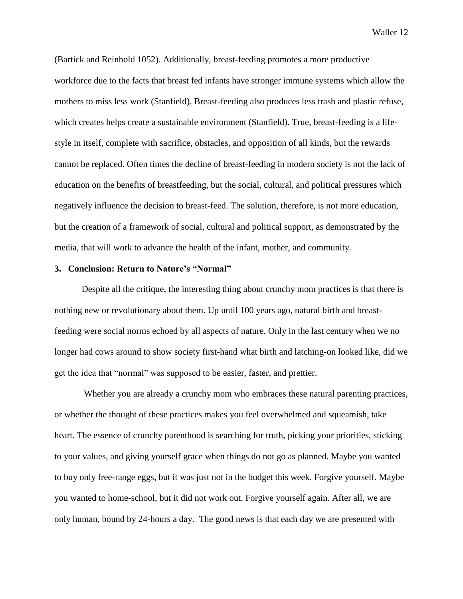(Bartick and Reinhold 1052). Additionally, breast-feeding promotes a more productive workforce due to the facts that breast fed infants have stronger immune systems which allow the mothers to miss less work (Stanfield). Breast-feeding also produces less trash and plastic refuse, which creates helps create a sustainable environment (Stanfield). True, breast-feeding is a lifestyle in itself, complete with sacrifice, obstacles, and opposition of all kinds, but the rewards cannot be replaced. Often times the decline of breast-feeding in modern society is not the lack of education on the benefits of breastfeeding, but the social, cultural, and political pressures which negatively influence the decision to breast-feed. The solution, therefore, is not more education, but the creation of a framework of social, cultural and political support, as demonstrated by the media, that will work to advance the health of the infant, mother, and community.

#### **3. Conclusion: Return to Nature's "Normal"**

Despite all the critique, the interesting thing about crunchy mom practices is that there is nothing new or revolutionary about them. Up until 100 years ago, natural birth and breastfeeding were social norms echoed by all aspects of nature. Only in the last century when we no longer had cows around to show society first-hand what birth and latching-on looked like, did we get the idea that "normal" was supposed to be easier, faster, and prettier.

Whether you are already a crunchy mom who embraces these natural parenting practices, or whether the thought of these practices makes you feel overwhelmed and squeamish, take heart. The essence of crunchy parenthood is searching for truth, picking your priorities, sticking to your values, and giving yourself grace when things do not go as planned. Maybe you wanted to buy only free-range eggs, but it was just not in the budget this week. Forgive yourself. Maybe you wanted to home-school, but it did not work out. Forgive yourself again. After all, we are only human, bound by 24-hours a day. The good news is that each day we are presented with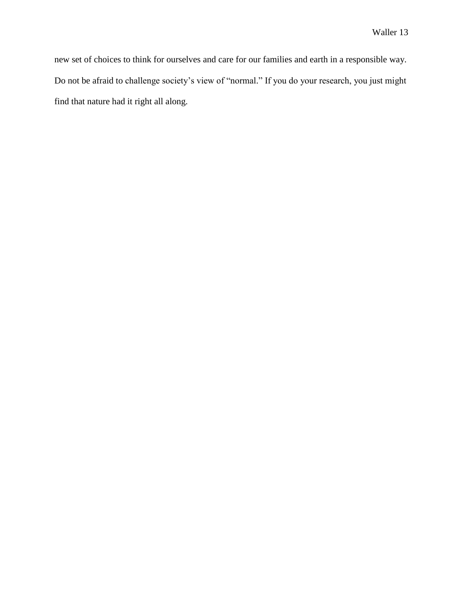new set of choices to think for ourselves and care for our families and earth in a responsible way. Do not be afraid to challenge society's view of "normal." If you do your research, you just might find that nature had it right all along.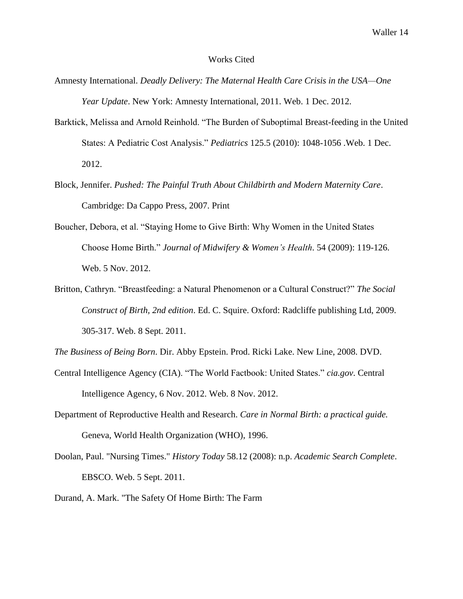#### Works Cited

- Amnesty International. *Deadly Delivery: The Maternal Health Care Crisis in the USA—One Year Update*. New York: Amnesty International, 2011. Web. 1 Dec. 2012.
- Barktick, Melissa and Arnold Reinhold. "The Burden of Suboptimal Breast-feeding in the United States: A Pediatric Cost Analysis." *Pediatrics* 125.5 (2010): 1048-1056 .Web. 1 Dec. 2012.
- Block, Jennifer. *Pushed: The Painful Truth About Childbirth and Modern Maternity Care*. Cambridge: Da Cappo Press, 2007. Print
- Boucher, Debora, et al. "Staying Home to Give Birth: Why Women in the United States Choose Home Birth." *Journal of Midwifery & Women's Health*. 54 (2009): 119-126. Web. 5 Nov. 2012.
- Britton, Cathryn. "Breastfeeding: a Natural Phenomenon or a Cultural Construct?" *The Social Construct of Birth, 2nd edition*. Ed. C. Squire. Oxford: Radcliffe publishing Ltd, 2009. 305-317. Web. 8 Sept. 2011.

*The Business of Being Born*. Dir. Abby Epstein. Prod. Ricki Lake. New Line, 2008. DVD.

- Central Intelligence Agency (CIA). "The World Factbook: United States." *cia.gov*. Central Intelligence Agency, 6 Nov. 2012. Web. 8 Nov. 2012.
- Department of Reproductive Health and Research. *Care in Normal Birth: a practical guide.*  Geneva, World Health Organization (WHO), 1996.
- Doolan, Paul. "Nursing Times." *History Today* 58.12 (2008): n.p. *Academic Search Complete*. EBSCO. Web. 5 Sept. 2011.
- Durand, A. Mark. "The Safety Of Home Birth: The Farm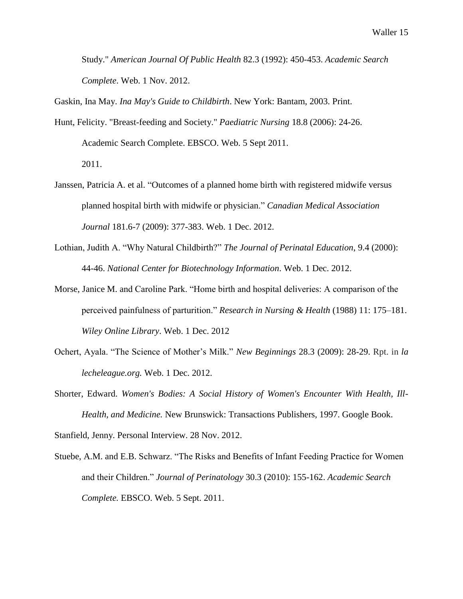Study." *American Journal Of Public Health* 82.3 (1992): 450-453. *Academic Search Complete*. Web. 1 Nov. 2012.

Gaskin, Ina May. *Ina May's Guide to Childbirth*. New York: Bantam, 2003. Print.

- Hunt, Felicity. "Breast-feeding and Society." *Paediatric Nursing* 18.8 (2006): 24-26. Academic Search Complete. EBSCO. Web. 5 Sept 2011. 2011.
- Janssen, Patricia A. et al. "Outcomes of a planned home birth with registered midwife versus planned hospital birth with midwife or physician." *Canadian Medical Association Journal* 181.6-7 (2009): 377-383. Web. 1 Dec. 2012.
- Lothian, Judith A. "Why Natural Childbirth?" *The Journal of Perinatal Education*, 9.4 (2000): 44-46. *National Center for Biotechnology Information*. Web. 1 Dec. 2012.
- Morse, Janice M. and Caroline Park. "Home birth and hospital deliveries: A comparison of the perceived painfulness of parturition." *Research in Nursing & Health* (1988) 11: 175–181. *Wiley Online Library*. Web. 1 Dec. 2012
- Ochert, Ayala. "The Science of Mother's Milk." *New Beginnings* 28.3 (2009): 28-29. Rpt. in *la lecheleague.org.* Web. 1 Dec. 2012.
- Shorter, Edward. *Women's Bodies: A Social History of Women's Encounter With Health, Ill-Health, and Medicine.* New Brunswick: Transactions Publishers, 1997. Google Book.

Stanfield, Jenny. Personal Interview. 28 Nov. 2012.

Stuebe, A.M. and E.B. Schwarz. "The Risks and Benefits of Infant Feeding Practice for Women and their Children." *Journal of Perinatology* 30.3 (2010): 155-162. *Academic Search Complete.* EBSCO. Web. 5 Sept. 2011.